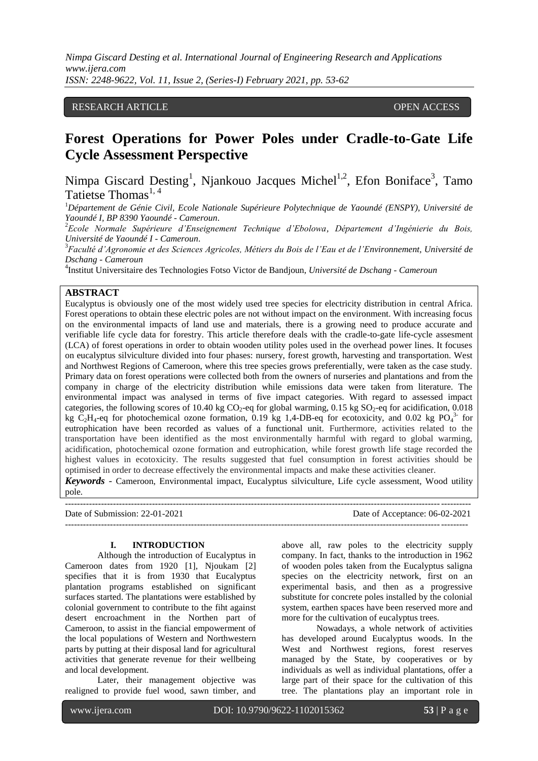# RESEARCH ARTICLE **OPEN ACCESS**

# **Forest Operations for Power Poles under Cradle-to-Gate Life Cycle Assessment Perspective**

Nimpa Giscard Desting<sup>1</sup>, Njankouo Jacques Michel<sup>1,2</sup>, Efon Boniface<sup>3</sup>, Tamo Tatietse Thomas<sup>1,4</sup>

<sup>1</sup>*Département de Génie Civil, Ecole Nationale Supérieure Polytechnique de Yaoundé (ENSPY), Université de Yaoundé I, BP 8390 Yaoundé - Cameroun*.

<sup>2</sup>*Ecole Normale Supérieure d'Enseignement Technique d'Ebolowa, Département d'Ingénierie du Bois, Université de Yaoundé I - Cameroun*.

<sup>3</sup>*Faculté d'Agronomie et des Sciences Agricoles, Métiers du Bois de l'Eau et de l'Environnement, Université de Dschang - Cameroun*

4 Institut Universitaire des Technologies Fotso Victor de Bandjoun, *Université de Dschang - Cameroun*

# **ABSTRACT**

Eucalyptus is obviously one of the most widely used tree species for electricity distribution in central Africa. Forest operations to obtain these electric poles are not without impact on the environment. With increasing focus on the environmental impacts of land use and materials, there is a growing need to produce accurate and verifiable life cycle data for forestry. This article therefore deals with the cradle-to-gate life-cycle assesment (LCA) of forest operations in order to obtain wooden utility poles used in the overhead power lines. It focuses on eucalyptus silviculture divided into four phases: nursery, forest growth, harvesting and transportation. West and Northwest Regions of Cameroon, where this tree species grows preferentially, were taken as the case study. Primary data on forest operations were collected both from the owners of nurseries and plantations and from the company in charge of the electricity distribution while emissions data were taken from literature. The environmental impact was analysed in terms of five impact categories. With regard to assessed impact categories, the following scores of 10.40 kg  $CO_2$ -eq for global warming, 0.15 kg  $SO_2$ -eq for acidification, 0.018 kg  $C_2H_4$ -eq for photochemical ozone formation, 0.19 kg 1,4-DB-eq for ecotoxicity, and 0.02 kg PO<sub>4</sub><sup>3</sup> for eutrophication have been recorded as values of a functional unit. Furthermore, activities related to the transportation have been identified as the most environmentally harmful with regard to global warming, acidification, photochemical ozone formation and eutrophication, while forest growth life stage recorded the highest values in ecotoxicity. The results suggested that fuel consumption in forest activities should be optimised in order to decrease effectively the environmental impacts and make these activities cleaner.

*Keywords* - Cameroon, Environmental impact, Eucalyptus silviculture, Life cycle assessment, Wood utility pole*.* ---------------------------------------------------------------------------------------------------------------------------------------

Date of Submission: 22-01-2021 Date of Acceptance: 06-02-2021 --------------------------------------------------------------------------------------------------------------------------------------

#### **I. INTRODUCTION**

Although the introduction of Eucalyptus in Cameroon dates from 1920 [1], Njoukam [2] specifies that it is from 1930 that Eucalyptus plantation programs established on significant surfaces started. The plantations were established by colonial government to contribute to the fiht against desert encroachment in the Northen part of Cameroon, to assist in the fiancial empowerment of the local populations of Western and Northwestern parts by putting at their disposal land for agricultural activities that generate revenue for their wellbeing and local development.

Later, their management objective was realigned to provide fuel wood, sawn timber, and above all, raw poles to the electricity supply company. In fact, thanks to the introduction in 1962 of wooden poles taken from the Eucalyptus saligna species on the electricity network, first on an experimental basis, and then as a progressive substitute for concrete poles installed by the colonial system, earthen spaces have been reserved more and more for the cultivation of eucalyptus trees.

Nowadays, a whole network of activities has developed around Eucalyptus woods. In the West and Northwest regions, forest reserves managed by the State, by cooperatives or by individuals as well as individual plantations, offer a large part of their space for the cultivation of this tree. The plantations play an important role in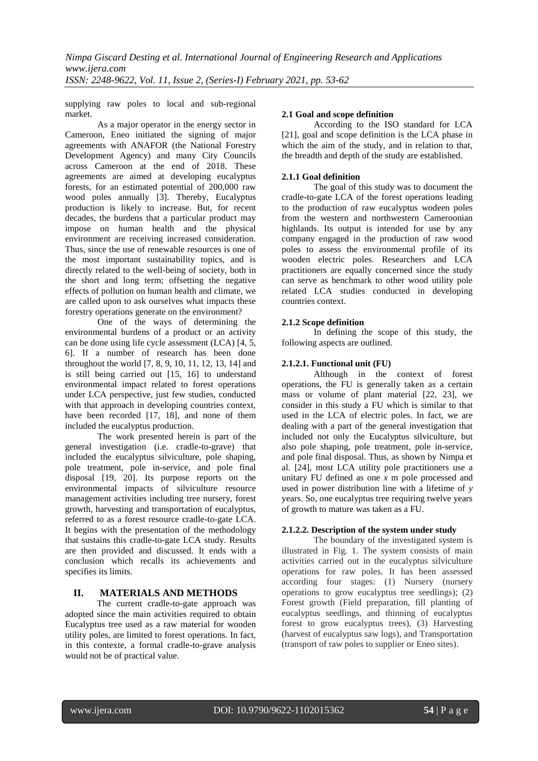supplying raw poles to local and sub-regional market.

As a major operator in the energy sector in Cameroon, Eneo initiated the signing of major agreements with ANAFOR (the National Forestry Development Agency) and many City Councils across Cameroon at the end of 2018. These agreements are aimed at developing eucalyptus forests, for an estimated potential of 200,000 raw wood poles annually [3]. Thereby, Eucalyptus production is likely to increase. But, for recent decades, the burdens that a particular product may impose on human health and the physical environment are receiving increased consideration. Thus, since the use of renewable resources is one of the most important sustainability topics, and is directly related to the well-being of society, both in the short and long term; offsetting the negative effects of pollution on human health and climate, we are called upon to ask ourselves what impacts these forestry operations generate on the environment?

One of the ways of determining the environmental burdens of a product or an activity can be done using life cycle assessment (LCA) [4, 5, 6]. If a number of research has been done throughout the world [7, 8, 9, 10, 11, 12, 13, 14] and is still being carried out [15, 16] to understand environmental impact related to forest operations under LCA perspective, just few studies, conducted with that approach in developing countries context, have been recorded [17, 18], and none of them included the eucalyptus production.

The work presented herein is part of the general investigation (i.e. cradle-to-grave) that included the eucalyptus silviculture, pole shaping, pole treatment, pole in-service, and pole final disposal [19, 20]. Its purpose reports on the environmental impacts of silviculture resource management activities including tree nursery, forest growth, harvesting and transportation of eucalyptus, referred to as a forest resource cradle-to-gate LCA. It begins with the presentation of the methodology that sustains this cradle-to-gate LCA study. Results are then provided and discussed. It ends with a conclusion which recalls its achievements and specifies its limits.

# **II. MATERIALS AND METHODS**

The current cradle-to-gate approach was adopted since the main activities required to obtain Eucalyptus tree used as a raw material for wooden utility poles, are limited to forest operations. In fact, in this contexte, a formal cradle-to-grave analysis would not be of practical value.

## **2.1 Goal and scope definition**

According to the ISO standard for LCA [21], goal and scope definition is the LCA phase in which the aim of the study, and in relation to that, the breadth and depth of the study are established.

## **2.1.1 Goal definition**

The goal of this study was to document the cradle-to-gate LCA of the forest operations leading to the production of raw eucalyptus wodeen poles from the western and northwestern Cameroonian highlands. Its output is intended for use by any company engaged in the production of raw wood poles to assess the environmental profile of its wooden electric poles. Researchers and LCA practitioners are equally concerned since the study can serve as benchmark to other wood utility pole related LCA studies conducted in developing countries context.

# **2.1.2 Scope definition**

In defining the scope of this study, the following aspects are outlined.

# **2.1.2.1. Functional unit (FU)**

Although in the context of forest operations, the FU is generally taken as a certain mass or volume of plant material [22, 23], we consider in this study a FU which is similar to that used in the LCA of electric poles. In fact, we are dealing with a part of the general investigation that included not only the Eucalyptus silviculture, but also pole shaping, pole treatment, pole in-service, and pole final disposal. Thus, as shown by Nimpa et al. [24], most LCA utility pole practitioners use a unitary FU defined as one *x* m pole processed and used in power distribution line with a lifetime of *y* years. So, one eucalyptus tree requiring twelve years of growth to mature was taken as a FU.

# **2.1.2.2. Description of the system under study**

The boundary of the investigated system is illustrated in Fig. 1. The system consists of main activities carried out in the eucalyptus silviculture operations for raw poles. It has been assessed according four stages: (1) Nursery (nursery operations to grow eucalyptus tree seedlings); (2) Forest growth (Field preparation, fill planting of eucalyptus seedlings, and thinning of eucalyptus forest to grow eucalyptus trees), (3) Harvesting (harvest of eucalyptus saw logs), and Transportation (transport of raw poles to supplier or Eneo sites).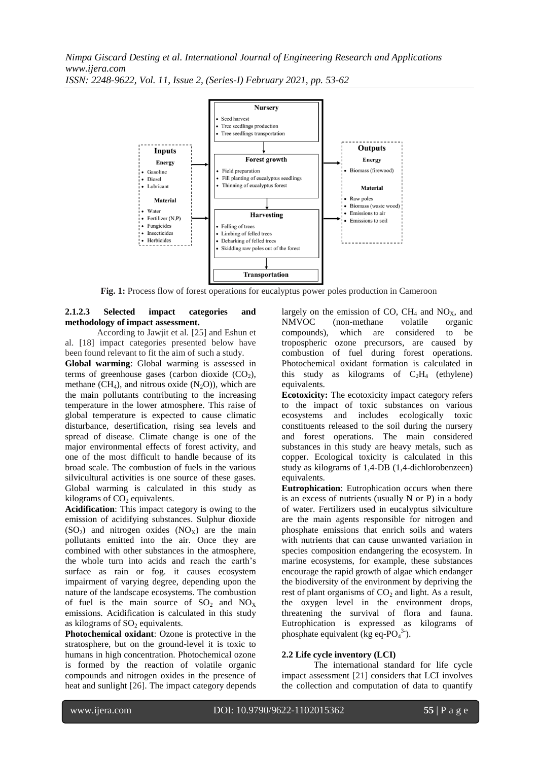

**Fig. 1:** Process flow of forest operations for eucalyptus power poles production in Cameroon

## **2.1.2.3 Selected impact categories and methodology of impact assessment.**

According to Jawjit et al. [25] and Eshun et al. [18] impact categories presented below have been found relevant to fit the aim of such a study.

**Global warming**: Global warming is assessed in terms of greenhouse gases (carbon dioxide  $(CO<sub>2</sub>)$ , methane  $(CH_4)$ , and nitrous oxide  $(N_2O)$ ), which are the main pollutants contributing to the increasing temperature in the lower atmosphere. This raise of global temperature is expected to cause climatic disturbance, desertification, rising sea levels and spread of disease. Climate change is one of the major environmental effects of forest activity, and one of the most difficult to handle because of its broad scale. The combustion of fuels in the various silvicultural activities is one source of these gases. Global warming is calculated in this study as kilograms of  $CO<sub>2</sub>$  equivalents.

**Acidification**: This impact category is owing to the emission of acidifying substances. Sulphur dioxide  $(SO<sub>2</sub>)$  and nitrogen oxides  $(NO<sub>x</sub>)$  are the main pollutants emitted into the air. Once they are combined with other substances in the atmosphere, the whole turn into acids and reach the earth's surface as rain or fog. it causes ecosystem impairment of varying degree, depending upon the nature of the landscape ecosystems. The combustion of fuel is the main source of  $SO_2$  and  $NO_X$ emissions. Acidification is calculated in this study as kilograms of  $SO<sub>2</sub>$  equivalents.

**Photochemical oxidant**: Ozone is protective in the stratosphere, but on the ground-level it is toxic to humans in high concentration. Photochemical ozone is formed by the reaction of volatile organic compounds and nitrogen oxides in the presence of heat and sunlight [26]. The impact category depends largely on the emission of CO,  $CH_4$  and NO<sub>X</sub>, and NMVOC (non-methane volatile organic (non-methane volatile organic compounds), which are considered to be tropospheric ozone precursors, are caused by combustion of fuel during forest operations. Photochemical oxidant formation is calculated in this study as kilograms of  $C_2H_4$  (ethylene) equivalents.

**Ecotoxicity:** The ecotoxicity impact category refers to the impact of toxic substances on various ecosystems and includes ecologically toxic constituents released to the soil during the nursery and forest operations. The main considered substances in this study are heavy metals, such as copper. Ecological toxicity is calculated in this study as kilograms of 1,4-DB (1,4-dichlorobenzeen) equivalents.

**Eutrophication**: Eutrophication occurs when there is an excess of nutrients (usually N or P) in a body of water. Fertilizers used in eucalyptus silviculture are the main agents responsible for nitrogen and phosphate emissions that enrich soils and waters with nutrients that can cause unwanted variation in species composition endangering the ecosystem. In marine ecosystems, for example, these substances encourage the rapid growth of algae which endanger the biodiversity of the environment by depriving the rest of plant organisms of  $CO<sub>2</sub>$  and light. As a result, the oxygen level in the environment drops, threatening the survival of flora and fauna. Eutrophication is expressed as kilograms of phosphate equivalent (kg eq- $PO<sub>4</sub><sup>3</sup>$ ).

#### **2.2 Life cycle inventory (LCI)**

The international standard for life cycle impact assessment [21] considers that LCI involves the collection and computation of data to quantify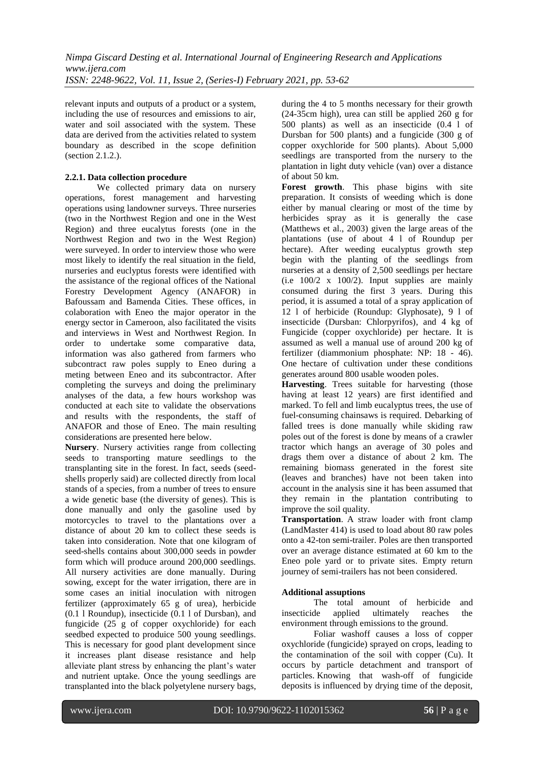relevant inputs and outputs of a product or a system, including the use of resources and emissions to air, water and soil associated with the system. These data are derived from the activities related to system boundary as described in the scope definition (section 2.1.2.).

# **2.2.1. Data collection procedure**

We collected primary data on nursery operations, forest management and harvesting operations using landowner surveys. Three nurseries (two in the Northwest Region and one in the West Region) and three eucalytus forests (one in the Northwest Region and two in the West Region) were surveyed. In order to interview those who were most likely to identify the real situation in the field, nurseries and euclyptus forests were identified with the assistance of the regional offices of the National Forestry Development Agency (ANAFOR) in Bafoussam and Bamenda Cities. These offices, in colaboration with Eneo the major operator in the energy sector in Cameroon, also facilitated the visits and interviews in West and Northwest Region. In order to undertake some comparative data, information was also gathered from farmers who subcontract raw poles supply to Eneo during a meting between Eneo and its subcontractor. After completing the surveys and doing the preliminary analyses of the data, a few hours workshop was conducted at each site to validate the observations and results with the respondents, the staff of ANAFOR and those of Eneo. The main resulting considerations are presented here below.

**Nursery**. Nursery activities range from collecting seeds to transporting mature seedlings to the transplanting site in the forest. In fact, seeds (seedshells properly said) are collected directly from local stands of a species, from a number of trees to ensure a wide genetic base (the diversity of genes). This is done manually and only the gasoline used by motorcycles to travel to the plantations over a distance of about 20 km to collect these seeds is taken into consideration. Note that one kilogram of seed-shells contains about 300,000 seeds in powder form which will produce around 200,000 seedlings. All nursery activities are done manually. During sowing, except for the water irrigation, there are in some cases an initial inoculation with nitrogen fertilizer (approximately 65 g of urea), herbicide (0.1 l Roundup), insecticide (0.1 l of Dursban), and fungicide (25 g of copper oxychloride) for each seedbed expected to produice 500 young seedlings. This is necessary for good plant development since it increases plant disease resistance and help alleviate plant stress by enhancing the plant's water and nutrient uptake. Once the young seedlings are transplanted into the black polyetylene nursery bags, during the 4 to 5 months necessary for their growth (24-35cm high), urea can still be applied 260 g for 500 plants) as well as an insecticide (0.4 l of Dursban for 500 plants) and a fungicide (300 g of copper oxychloride for 500 plants). About 5,000 seedlings are transported from the nursery to the plantation in light duty vehicle (van) over a distance of about 50 km.

**Forest growth**. This phase bigins with site preparation. It consists of weeding which is done either by manual clearing or most of the time by herbicides spray as it is generally the case (Matthews et al., 2003) given the large areas of the plantations (use of about 4 l of Roundup per hectare). After weeding eucalyptus growth step begin with the planting of the seedlings from nurseries at a density of 2,500 seedlings per hectare (i.e 100/2 x 100/2). Input supplies are mainly consumed during the first 3 years. During this period, it is assumed a total of a spray application of 12 l of herbicide (Roundup: Glyphosate), 9 l of insecticide (Dursban: Chlorpyrifos), and 4 kg of Fungicide (copper oxychloride) per hectare. It is assumed as well a manual use of around 200 kg of fertilizer (diammonium phosphate: NP: 18 - 46). One hectare of cultivation under these conditions generates around 800 usable wooden poles.

**Harvesting**. Trees suitable for harvesting (those having at least 12 years) are first identified and marked. To fell and limb eucalyptus trees, the use of fuel-consuming chainsaws is required. Debarking of falled trees is done manually while skiding raw poles out of the forest is done by means of a crawler tractor which hangs an average of 30 poles and drags them over a distance of about 2 km. The remaining biomass generated in the forest site (leaves and branches) have not been taken into account in the analysis sine it has been assumed that they remain in the plantation contributing to improve the soil quality.

**Transportation**. A straw loader with front clamp (LandMaster 414) is used to load about 80 raw poles onto a 42-ton semi-trailer. Poles are then transported over an average distance estimated at 60 km to the Eneo pole yard or to private sites. Empty return journey of semi-trailers has not been considered.

# **Additional assuptions**

The total amount of herbicide and insecticide applied ultimately reaches the environment through emissions to the ground.

Foliar washoff causes a loss of copper oxychloride (fungicide) sprayed on crops, leading to the contamination of the soil with copper (Cu). It occurs by particle detachment and transport of particles. Knowing that wash-off of fungicide deposits is influenced by drying time of the deposit,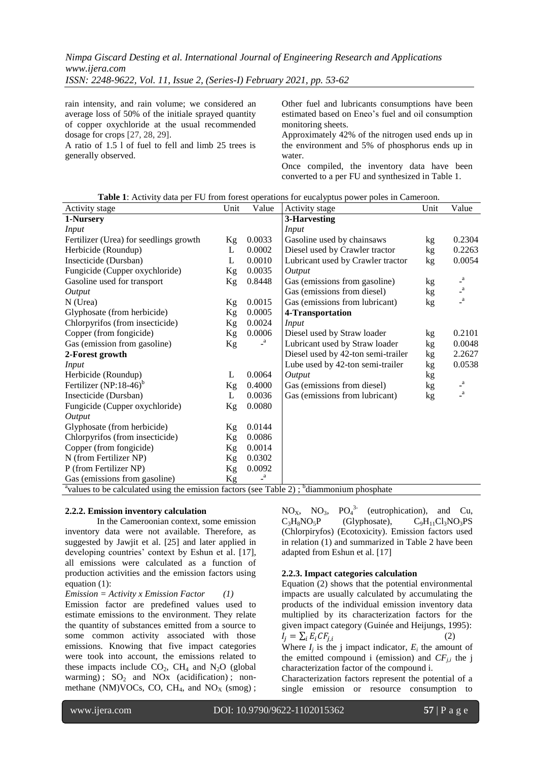rain intensity, and rain volume; we considered an average loss of 50% of the initiale sprayed quantity of copper oxychloride at the usual recommended dosage for crops [27, 28, 29].

A ratio of 1.5 l of fuel to fell and limb 25 trees is generally observed.

Other fuel and lubricants consumptions have been estimated based on Eneo's fuel and oil consumption monitoring sheets.

Approximately 42% of the nitrogen used ends up in the environment and 5% of phosphorus ends up in water.

Once compiled, the inventory data have been converted to a per FU and synthesized in Table 1.

| Table 1: Activity data per FU from forest operations for eucalyptus power poles in Cameroon |  |  |  |  |  |  |  |  |
|---------------------------------------------------------------------------------------------|--|--|--|--|--|--|--|--|
|---------------------------------------------------------------------------------------------|--|--|--|--|--|--|--|--|

| Activity stage                                                                                          | Unit | Value                     | Activity stage                     | Unit | Value                      |
|---------------------------------------------------------------------------------------------------------|------|---------------------------|------------------------------------|------|----------------------------|
| 1-Nursery                                                                                               |      |                           | 3-Harvesting                       |      |                            |
| Input                                                                                                   |      |                           | <i>Input</i>                       |      |                            |
| Fertilizer (Urea) for seedlings growth                                                                  | Kg   | 0.0033                    | Gasoline used by chainsaws         | kg   | 0.2304                     |
| Herbicide (Roundup)                                                                                     | L    | 0.0002                    | Diesel used by Crawler tractor     | kg   | 0.2263                     |
| Insecticide (Dursban)                                                                                   | L    | 0.0010                    | Lubricant used by Crawler tractor  | kg   | 0.0054                     |
| Fungicide (Cupper oxychloride)                                                                          | Kg   | 0.0035                    | Output                             |      |                            |
| Gasoline used for transport                                                                             | Kg   | 0.8448                    | Gas (emissions from gasoline)      | kg   | $\mathbf{a}$               |
| Output                                                                                                  |      |                           | Gas (emissions from diesel)        | kg   | $\overline{\phantom{a}}^a$ |
| $N$ (Urea)                                                                                              | Kg   | 0.0015                    | Gas (emissions from lubricant)     | kg   | $\mathbf{a}$               |
| Glyphosate (from herbicide)                                                                             | Kg   | 0.0005                    | 4-Transportation                   |      |                            |
| Chlorpyrifos (from insecticide)                                                                         | Kg   | 0.0024                    | Input                              |      |                            |
| Copper (from fongicide)                                                                                 | Kg   | 0.0006                    | Diesel used by Straw loader        | kg   | 0.2101                     |
| Gas (emission from gasoline)                                                                            | Kg   | $\mathsf{I}^{\mathrm{a}}$ | Lubricant used by Straw loader     | kg   | 0.0048                     |
| 2-Forest growth                                                                                         |      |                           | Diesel used by 42-ton semi-trailer | kg   | 2.2627                     |
| <b>Input</b>                                                                                            |      |                           | Lube used by 42-ton semi-trailer   | kg   | 0.0538                     |
| Herbicide (Roundup)                                                                                     | L    | 0.0064                    | Output                             | kg   |                            |
| Fertilizer $(NP:18-46)^b$                                                                               | Kg   | 0.4000                    | Gas (emissions from diesel)        | kg   | $\overline{\phantom{a}}^a$ |
| Insecticide (Dursban)                                                                                   | L    | 0.0036                    | Gas (emissions from lubricant)     | kg   | $\mathbf{a}$               |
| Fungicide (Cupper oxychloride)                                                                          | Кg   | 0.0080                    |                                    |      |                            |
| Output                                                                                                  |      |                           |                                    |      |                            |
| Glyphosate (from herbicide)                                                                             | Кg   | 0.0144                    |                                    |      |                            |
| Chlorpyrifos (from insecticide)                                                                         | Kg   | 0.0086                    |                                    |      |                            |
| Copper (from fongicide)                                                                                 | Kg   | 0.0014                    |                                    |      |                            |
| N (from Fertilizer NP)                                                                                  | Kg   | 0.0302                    |                                    |      |                            |
| P (from Fertilizer NP)                                                                                  | Kg   | 0.0092                    |                                    |      |                            |
| Gas (emissions from gasoline)                                                                           | Kg   | $\mathbf{a}$              |                                    |      |                            |
| <sup>a</sup> values to be calculated using the emission factors (see Table 2); $b$ diammonium phosphate |      |                           |                                    |      |                            |

#### **2.2.2. Emission inventory calculation**

In the Cameroonian context, some emission inventory data were not available. Therefore, as suggested by Jawjit et al. [25] and later applied in developing countries' context by Eshun et al. [17], all emissions were calculated as a function of production activities and the emission factors using equation (1):

*Emission = Activity x Emission Factor (1)*

Emission factor are predefined values used to estimate emissions to the environment. They relate the quantity of substances emitted from a source to some common activity associated with those emissions. Knowing that five impact categories were took into account, the emissions related to these impacts include  $CO<sub>2</sub>$ , CH<sub>4</sub> and N<sub>2</sub>O (global) warming) ;  $SO_2$  and NOx (acidification) ; nonmethane (NM)VOCs, CO, CH<sub>4</sub>, and NO<sub>X</sub> (smog);

 $NO_X$ ,  $NO_3$ ,  $PO_4^{3-}$  (eutrophication), and Cu,  $C_3H_8NO_5P$  (Glyphosate),  $C_9H_{11}Cl_3NO_3PS$ (Chlorpiryfos) (Ecotoxicity). Emission factors used in relation (1) and summarized in Table 2 have been adapted from Eshun et al. [17]

## **2.2.3. Impact categories calculation**

Equation (2) shows that the potential environmental impacts are usually calculated by accumulating the products of the individual emission inventory data multiplied by its characterization factors for the given impact category (Guinée and Heijungs, 1995):  $I_i = \sum_i E_i C F_{i,i}$ (2)

Where  $I_j$  is the j impact indicator,  $E_i$  the amount of the emitted compound i (emission) and  $CF_{i,i}$  the j characterization factor of the compound i.

Characterization factors represent the potential of a single emission or resource consumption to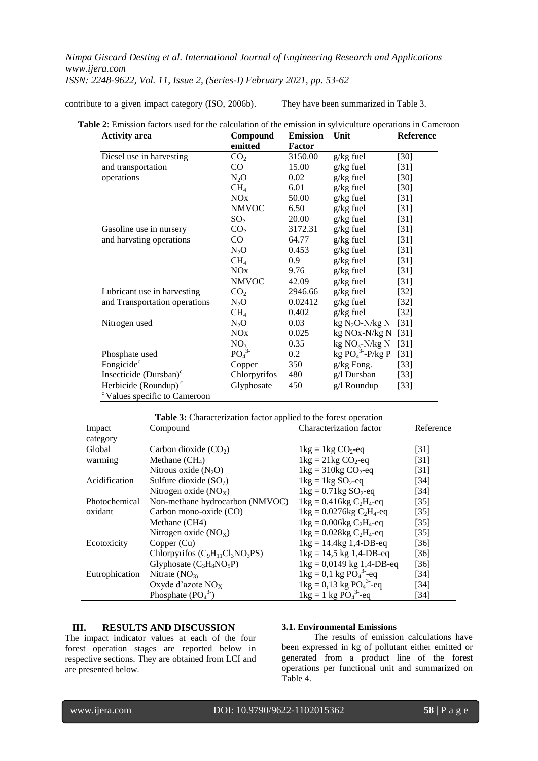contribute to a given impact category (ISO, 2006b). They have been summarized in Table 3.

| <b>Activity</b> area               | Compound                     |         | Unit               | Reference          |  |
|------------------------------------|------------------------------|---------|--------------------|--------------------|--|
|                                    | emitted                      | Factor  |                    |                    |  |
| Diesel use in harvesting           | CO <sub>2</sub>              | 3150.00 | $g/kg$ fuel        | $[30]$             |  |
| and transportation                 | CO                           | 15.00   | $g/kg$ fuel        | $[31]$             |  |
| operations                         | $N_2O$                       | 0.02    | $g/kg$ fuel        | $[30]$             |  |
|                                    | CH <sub>4</sub>              | 6.01    | $g/kg$ fuel        | $[30]$             |  |
|                                    | NOx                          | 50.00   | $g/kg$ fuel        | $[31]$             |  |
|                                    | <b>NMVOC</b>                 | 6.50    | $g/kg$ fuel        | $[31]$             |  |
|                                    | SO <sub>2</sub>              | 20.00   | $g/kg$ fuel        | $[31]$             |  |
| Gasoline use in nursery            | CO <sub>2</sub>              | 3172.31 | $g/kg$ fuel        | $\lceil 31 \rceil$ |  |
| and harvsting operations           | CO                           | 64.77   | $g/kg$ fuel        | $[31]$             |  |
|                                    | $N_2O$                       | 0.453   | $g/kg$ fuel        | $[31]$             |  |
|                                    | CH <sub>4</sub>              | 0.9     | $g/kg$ fuel        | $[31]$             |  |
|                                    | NOx                          | 9.76    | $g/kg$ fuel        | $[31]$             |  |
|                                    | <b>NMVOC</b>                 | 42.09   | $g/kg$ fuel        | $[31]$             |  |
| Lubricant use in harvesting        | CO <sub>2</sub>              | 2946.66 | $g/kg$ fuel        | $[32]$             |  |
| and Transportation operations      | $N_2O$                       | 0.02412 | $g/kg$ fuel        | $[32]$             |  |
|                                    | CH <sub>4</sub>              | 0.402   | $g/kg$ fuel        | $[32]$             |  |
| Nitrogen used                      | $N_2O$                       | 0.03    | $kg N2O-N/kg N$    | $[31]$             |  |
|                                    | NOx                          | 0.025   | kg NOx-N/kg N      | $[31]$             |  |
|                                    | NO <sub>3</sub>              | 0.35    | $kg NO3-N/kg N$    | $[31]$             |  |
| Phosphate used                     | PO <sub>4</sub> <sup>3</sup> | $0.2\,$ | kg $PO43 - P/kg P$ | $[31]$             |  |
| Fongicide <sup>c</sup>             | Copper                       | 350     | g/kg Fong.         | $[33]$             |  |
| Insecticide (Dursban) <sup>c</sup> | Chlorpyrifos                 | 480     | g/l Dursban        | $[33]$             |  |
| Herbicide (Roundup) $\textdegree$  | Glyphosate                   | 450     | $g/l$ Roundup      | $[33]$             |  |

| <b>Table 3:</b> Characterization factor applied to the forest operation |                                      |                                                              |                   |  |  |  |  |
|-------------------------------------------------------------------------|--------------------------------------|--------------------------------------------------------------|-------------------|--|--|--|--|
| Impact                                                                  | Compound                             | Characterization factor                                      | Reference         |  |  |  |  |
| category                                                                |                                      |                                                              |                   |  |  |  |  |
| Global                                                                  | Carbon dioxide $(CO2)$               | $1 \text{kg} = 1 \text{kg CO}_2$ -eq                         | $[31]$            |  |  |  |  |
| warming                                                                 | Methane $(CH_4)$                     | $1\text{kg} = 21\text{kg CO}_2$ -eq                          | [31]              |  |  |  |  |
|                                                                         | Nitrous oxide $(N_2O)$               | $1 \text{kg} = 310 \text{kg CO}_2$ -eq                       | [31]              |  |  |  |  |
| Acidification                                                           | Sulfure dioxide $(SO2)$              | $1\text{kg} = 1\text{kg SO}_2$ -eq                           | [34]              |  |  |  |  |
|                                                                         | Nitrogen oxide $(NOx)$               | $1 \text{kg} = 0.71 \text{kg SO}_2$ -eq                      | [34]              |  |  |  |  |
| Photochemical                                                           | Non-methane hydrocarbon (NMVOC)      | $1\text{kg} = 0.416\text{kg} C_2\text{H}_4\text{-eq}$        | $[35]$            |  |  |  |  |
| oxidant                                                                 | Carbon mono-oxide (CO)               | $1 \text{kg} = 0.0276 \text{kg} C_2H_4$ -eq                  | $\left[35\right]$ |  |  |  |  |
|                                                                         | Methane (CH4)                        | $1 \text{kg} = 0.006 \text{kg} C_2H_4$ -eq                   | $[35]$            |  |  |  |  |
|                                                                         | Nitrogen oxide $(NO_x)$              | $1 \text{kg} = 0.028 \text{kg C}2H4$ -eq                     | $\left[35\right]$ |  |  |  |  |
| Ecotoxicity                                                             | Copper (Cu)                          | $1\text{kg} = 14.4\text{kg}$ 1,4-DB-eq                       | $[36]$            |  |  |  |  |
|                                                                         | Chlorpyrifos $(C_9H_{11}Cl_3NO_3PS)$ | $1 \text{kg} = 14.5 \text{ kg } 1.4 \text{-DB-eq}$           | [36]              |  |  |  |  |
|                                                                         | Glyphosate $(C_3H_8NO_5P)$           | $1 \text{kg} = 0.0149 \text{ kg } 1.4 \text{-}DB \text{-}eq$ | [36]              |  |  |  |  |
| Eutrophication                                                          | Nitrate $(NO3)$                      | $1 \text{kg} = 0.1 \text{ kg } \text{PO}_4^{3}$ -eq          | [34]              |  |  |  |  |
|                                                                         | Oxyde d'azote $NOx$                  | $1 \text{kg} = 0.13 \text{ kg} \text{ PO}_4^{3}$ -eq         | [34]              |  |  |  |  |
|                                                                         | Phosphate $(PO43)$                   | $1 \text{kg} = 1 \text{ kg } \text{PO}_4^{3}$ -eq            | [34]              |  |  |  |  |

# **III. RESULTS AND DISCUSSION**

The impact indicator values at each of the four forest operation stages are reported below in respective sections. They are obtained from LCI and are presented below.

## **3.1. Environmental Emissions**

The results of emission calculations have been expressed in kg of pollutant either emitted or generated from a product line of the forest operations per functional unit and summarized on Table 4.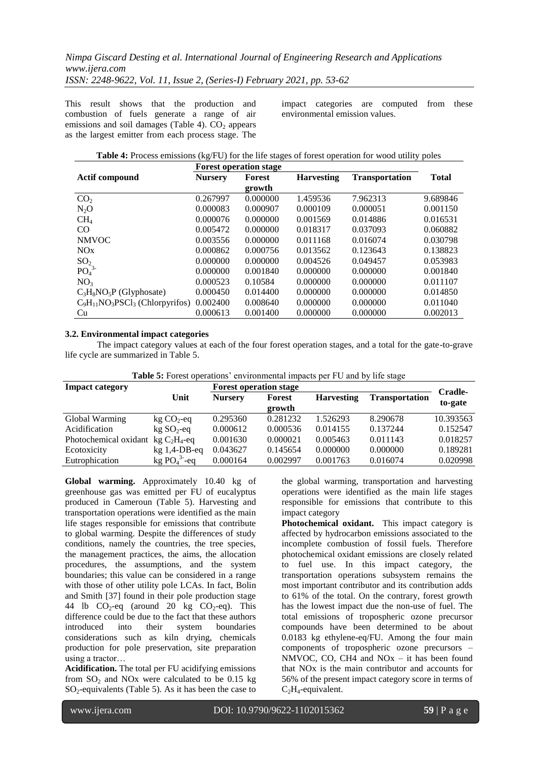This result shows that the production and combustion of fuels generate a range of air emissions and soil damages (Table 4).  $CO<sub>2</sub>$  appears as the largest emitter from each process stage. The impact categories are computed from these environmental emission values.

|                                      | <b>Forest operation stage</b> |          |                   |                       |              |  |
|--------------------------------------|-------------------------------|----------|-------------------|-----------------------|--------------|--|
| <b>Actif compound</b>                | <b>Nursery</b>                | Forest   | <b>Harvesting</b> | <b>Transportation</b> | <b>Total</b> |  |
|                                      |                               | growth   |                   |                       |              |  |
| CO <sub>2</sub>                      | 0.267997                      | 0.000000 | 1.459536          | 7.962313              | 9.689846     |  |
| $N_2O$                               | 0.000083                      | 0.000907 | 0.000109          | 0.000051              | 0.001150     |  |
| CH <sub>4</sub>                      | 0.000076                      | 0.000000 | 0.001569          | 0.014886              | 0.016531     |  |
| CO                                   | 0.005472                      | 0.000000 | 0.018317          | 0.037093              | 0.060882     |  |
| <b>NMVOC</b>                         | 0.003556                      | 0.000000 | 0.011168          | 0.016074              | 0.030798     |  |
| NOx                                  | 0.000862                      | 0.000756 | 0.013562          | 0.123643              | 0.138823     |  |
| SO <sub>2</sub>                      | 0.000000                      | 0.000000 | 0.004526          | 0.049457              | 0.053983     |  |
|                                      | 0.000000                      | 0.001840 | 0.000000          | 0.000000              | 0.001840     |  |
| NO <sub>3</sub>                      | 0.000523                      | 0.10584  | 0.000000          | 0.000000              | 0.011107     |  |
| $C_3H_8NO_5P$ (Glyphosate)           | 0.000450                      | 0.014400 | 0.000000          | 0.000000              | 0.014850     |  |
| $C_9H_{11}NO_3PSCl_3$ (Chlorpyrifos) | 0.002400                      | 0.008640 | 0.000000          | 0.000000              | 0.011040     |  |
| Cu                                   | 0.000613                      | 0.001400 | 0.000000          | 0.000000              | 0.002013     |  |
| PO <sub>4</sub> <sup>3</sup>         |                               |          |                   |                       |              |  |

#### **3.2. Environmental impact categories**

The impact category values at each of the four forest operation stages, and a total for the gate-to-grave life cycle are summarized in Table 5.

| Table 5: Forest operations' environmental impacts per FU and by life stage |  |  |  |  |  |  |
|----------------------------------------------------------------------------|--|--|--|--|--|--|
|----------------------------------------------------------------------------|--|--|--|--|--|--|

| <b>Impact category</b>              |                | <b>Forest operation stage</b> | Cradle-          |                   |                       |           |
|-------------------------------------|----------------|-------------------------------|------------------|-------------------|-----------------------|-----------|
|                                     | Unit           | <b>Nursery</b>                | Forest<br>growth | <b>Harvesting</b> | <b>Transportation</b> | to-gate   |
| Global Warming                      | $kg CO2$ -eq   | 0.295360                      | 0.281232         | 1.526293          | 8.290678              | 10.393563 |
| Acidification                       | $kg SO2-eq$    | 0.000612                      | 0.000536         | 0.014155          | 0.137244              | 0.152547  |
| Photochemical oxidant $kg C2H4$ -eq |                | 0.001630                      | 0.000021         | 0.005463          | 0.011143              | 0.018257  |
| Ecotoxicity                         | $kg$ 1,4-DB-eq | 0.043627                      | 0.145654         | 0.000000          | 0.000000              | 0.189281  |
| Eutrophication                      | $kg PO43-eq$   | 0.000164                      | 0.002997         | 0.001763          | 0.016074              | 0.020998  |

**Global warming.** Approximately 10.40 kg of greenhouse gas was emitted per FU of eucalyptus produced in Cameroun (Table 5). Harvesting and transportation operations were identified as the main life stages responsible for emissions that contribute to global warming. Despite the differences of study conditions, namely the countries, the tree species, the management practices, the aims, the allocation procedures, the assumptions, and the system boundaries; this value can be considered in a range with those of other utility pole LCAs. In fact, Bolin and Smith [37] found in their pole production stage 44 lb  $CO_2$ -eq (around 20 kg  $CO_2$ -eq). This difference could be due to the fact that these authors introduced into their system boundaries considerations such as kiln drying, chemicals production for pole preservation, site preparation using a tractor…

**Acidification.** The total per FU acidifying emissions from  $SO_2$  and NO<sub>x</sub> were calculated to be 0.15 kg  $SO_2$ -equivalents (Table 5). As it has been the case to

the global warming, transportation and harvesting operations were identified as the main life stages responsible for emissions that contribute to this impact category

**Photochemical oxidant.** This impact category is affected by hydrocarbon emissions associated to the incomplete combustion of fossil fuels. Therefore photochemical oxidant emissions are closely related to fuel use. In this impact category, the transportation operations subsystem remains the most important contributor and its contribution adds to 61% of the total. On the contrary, forest growth has the lowest impact due the non-use of fuel. The total emissions of tropospheric ozone precursor compounds have been determined to be about 0.0183 kg ethylene-eq/FU. Among the four main components of tropospheric ozone precursors – NMVOC, CO, CH4 and NO<sub>x</sub> – it has been found that NOx is the main contributor and accounts for 56% of the present impact category score in terms of  $C_2H_4$ -equivalent.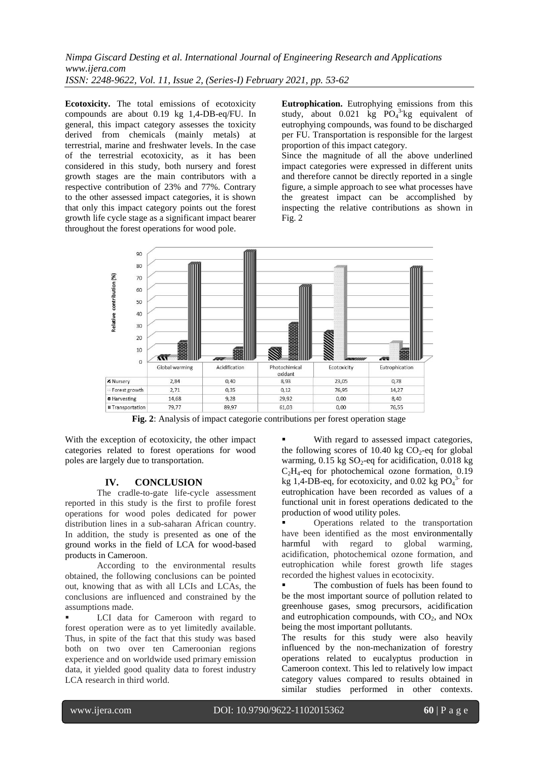**Ecotoxicity.** The total emissions of ecotoxicity compounds are about 0.19 kg 1,4-DB-eq/FU. In general, this impact category assesses the toxicity derived from chemicals (mainly metals) at terrestrial, marine and freshwater levels. In the case of the terrestrial ecotoxicity, as it has been considered in this study, both nursery and forest growth stages are the main contributors with a respective contribution of 23% and 77%. Contrary to the other assessed impact categories, it is shown that only this impact category points out the forest growth life cycle stage as a significant impact bearer throughout the forest operations for wood pole.

**Eutrophication.** Eutrophying emissions from this study, about  $0.021$  kg  $PO<sub>4</sub><sup>3</sup>$  kg equivalent of eutrophying compounds, was found to be discharged per FU. Transportation is responsible for the largest proportion of this impact category.

Since the magnitude of all the above underlined impact categories were expressed in different units and therefore cannot be directly reported in a single figure, a simple approach to see what processes have the greatest impact can be accomplished by inspecting the relative contributions as shown in Fig. 2



**Fig. 2**: Analysis of impact categorie contributions per forest operation stage

With the exception of ecotoxicity, the other impact categories related to forest operations for wood poles are largely due to transportation.

# **IV. CONCLUSION**

The cradle-to-gate life-cycle assessment reported in this study is the first to profile forest operations for wood poles dedicated for power distribution lines in a sub-saharan African country. In addition, the study is presented as one of the ground works in the field of LCA for wood-based products in Cameroon.

According to the environmental results obtained, the following conclusions can be pointed out, knowing that as with all LCIs and LCAs, the conclusions are influenced and constrained by the assumptions made.

 LCI data for Cameroon with regard to forest operation were as to yet limitedly available. Thus, in spite of the fact that this study was based both on two over ten Cameroonian regions experience and on worldwide used primary emission data, it yielded good quality data to forest industry LCA research in third world.

 With regard to assessed impact categories, the following scores of 10.40 kg  $CO<sub>2</sub>$ -eq for global warming,  $0.15$  kg SO<sub>2</sub>-eq for acidification,  $0.018$  kg  $C<sub>2</sub>H<sub>4</sub>$ -eq for photochemical ozone formation, 0.19 kg 1,4-DB-eq, for ecotoxicity, and 0.02 kg  $PO<sub>4</sub><sup>3</sup>$  for eutrophication have been recorded as values of a functional unit in forest operations dedicated to the production of wood utility poles.

 Operations related to the transportation have been identified as the most environmentally<br>harmful with regard to global warming. harmful with regard to global warming, acidification, photochemical ozone formation, and eutrophication while forest growth life stages recorded the highest values in ecotocixity.

■ The combustion of fuels has been found to be the most important source of pollution related to greenhouse gases, smog precursors, acidification and eutrophication compounds, with  $CO<sub>2</sub>$ , and NO<sub>x</sub> being the most important pollutants.

The results for this study were also heavily influenced by the non-mechanization of forestry operations related to eucalyptus production in Cameroon context. This led to relatively low impact category values compared to results obtained in similar studies performed in other contexts.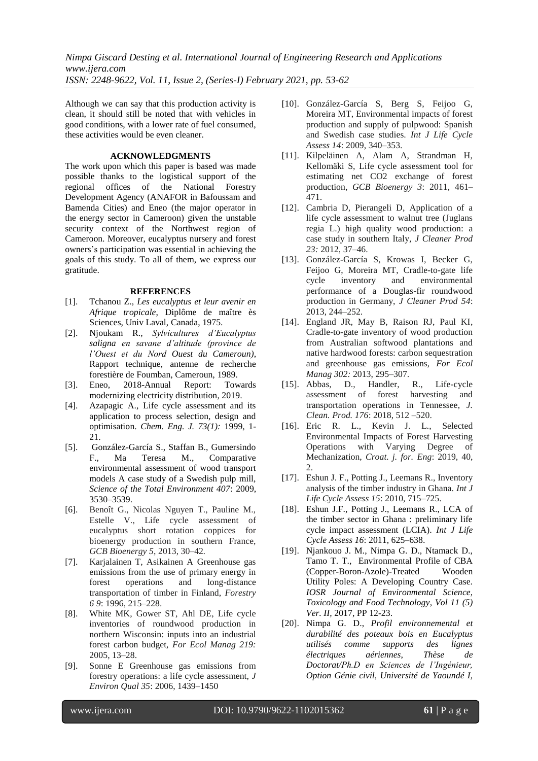Although we can say that this production activity is clean, it should still be noted that with vehicles in good conditions, with a lower rate of fuel consumed, these activities would be even cleaner.

### **ACKNOWLEDGMENTS**

The work upon which this paper is based was made possible thanks to the logistical support of the regional offices of the National Forestry Development Agency (ANAFOR in Bafoussam and Bamenda Cities) and Eneo (the major operator in the energy sector in Cameroon) given the unstable security context of the Northwest region of Cameroon. Moreover, eucalyptus nursery and forest owners's participation was essential in achieving the goals of this study. To all of them, we express our gratitude.

#### **REFERENCES**

- [1]. Tchanou Z., *Les eucalyptus et leur avenir en Afrique tropicale*, Diplôme de maître ès Sciences, Univ Laval, Canada, 1975.
- [2]. Njoukam R., *Sylvicultures d'Eucalyptus saligna en savane d'altitude (province de l'Ouest et du Nord Ouest du Cameroun)*, Rapport technique, antenne de recherche forestière de Foumban, Cameroun, 1989.
- [3]. Eneo, 2018-Annual Report: Towards modernizing electricity distribution, 2019.
- [4]. Azapagic A., Life cycle assessment and its application to process selection, design and optimisation. *Chem. Eng. J. 73(1):* 1999, 1- 21.
- [5]. González-García S., Staffan B., Gumersindo F., Ma Teresa M., Comparative environmental assessment of wood transport models A case study of a Swedish pulp mill, *Science of the Total Environment 407*: 2009, 3530–3539.
- [6]. Benoît G., Nicolas Nguyen T., Pauline M., Estelle V., Life cycle assessment of eucalyptus short rotation coppices for bioenergy production in southern France, *GCB Bioenergy 5*, 2013, 30–42*.*
- [7]. Karjalainen T, Asikainen A Greenhouse gas emissions from the use of primary energy in forest operations and long-distance transportation of timber in Finland, *Forestry 6 9*: 1996, 215–228.
- [8]. White MK, Gower ST, Ahl DE, Life cycle inventories of roundwood production in northern Wisconsin: inputs into an industrial forest carbon budget, *For Ecol Manag 219:* 2005, 13–28.
- [9]. Sonne E Greenhouse gas emissions from forestry operations: a life cycle assessment, *J Environ Qual 35*: 2006, 1439–1450
- [10]. González-García S, Berg S, Feijoo G, Moreira MT, Environmental impacts of forest production and supply of pulpwood: Spanish and Swedish case studies. *Int J Life Cycle Assess 14*: 2009, 340–353.
- [11]. Kilpeläinen A, Alam A, Strandman H, Kellomäki S, Life cycle assessment tool for estimating net CO2 exchange of forest production, *GCB Bioenergy 3*: 2011, 461– 471.
- [12]. Cambria D, Pierangeli D, Application of a life cycle assessment to walnut tree (Juglans regia L.) high quality wood production: a case study in southern Italy, *J Cleaner Prod 23:* 2012, 37–46.
- [13]. González-García S, Krowas I, Becker G, Feijoo G, Moreira MT, Cradle-to-gate life cycle inventory and environmental performance of a Douglas-fir roundwood production in Germany, *J Cleaner Prod 54*: 2013, 244–252.
- [14]. England JR, May B, Raison RJ, Paul KI, Cradle-to-gate inventory of wood production from Australian softwood plantations and native hardwood forests: carbon sequestration and greenhouse gas emissions, *For Ecol Manag 302:* 2013, 295–307.
- [15]. Abbas, D., Handler, R., Life-cycle assessment of forest harvesting and transportation operations in Tennessee, *J. Clean. Prod. 176*: 2018, 512 –520.
- [16]. Eric R. L., Kevin J. L., Selected Environmental Impacts of Forest Harvesting Operations with Varying Degree of Mechanization, *Croat. j. for. Eng*: 2019, 40,  $\mathcal{D}$
- [17]. Eshun J. F., Potting J., Leemans R., Inventory analysis of the timber industry in Ghana. *Int J Life Cycle Assess 15*: 2010, 715–725.
- [18]. Eshun J.F., Potting J., Leemans R., LCA of the timber sector in Ghana : preliminary life cycle impact assessment (LCIA). *Int J Life Cycle Assess 16*: 2011, 625–638.
- [19]. Njankouo J. M., Nimpa G. D., Ntamack D., Tamo T. T., Environmental Profile of CBA (Copper-Boron-Azole)-Treated Wooden Utility Poles: A Developing Country Case. *IOSR Journal of Environmental Science, Toxicology and Food Technology*, *Vol 11 (5) Ver. II,* 2017, PP 12-23.
- [20]. Nimpa G. D., *Profil environnemental et durabilité des poteaux bois en Eucalyptus utilisés comme supports des lignes électriques aériennes*, *Thèse de Doctorat/Ph.D en Sciences de l'Ingénieur, Option Génie civil, Université de Yaoundé I,*